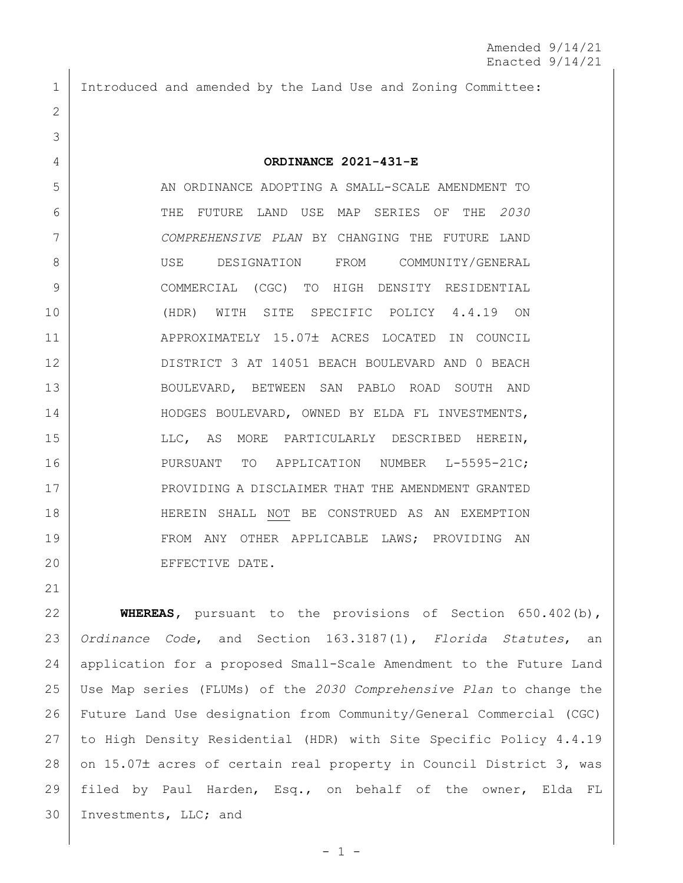Introduced and amended by the Land Use and Zoning Committee:

## **ORDINANCE 2021-431-E**

 AN ORDINANCE ADOPTING A SMALL-SCALE AMENDMENT TO THE FUTURE LAND USE MAP SERIES OF THE *2030 COMPREHENSIVE PLAN* BY CHANGING THE FUTURE LAND USE DESIGNATION FROM COMMUNITY/GENERAL COMMERCIAL (CGC) TO HIGH DENSITY RESIDENTIAL (HDR) WITH SITE SPECIFIC POLICY 4.4.19 ON 11 APPROXIMATELY 15.07± ACRES LOCATED IN COUNCIL DISTRICT 3 AT 14051 BEACH BOULEVARD AND 0 BEACH BOULEVARD, BETWEEN SAN PABLO ROAD SOUTH AND 14 | HODGES BOULEVARD, OWNED BY ELDA FL INVESTMENTS, 15 | LLC, AS MORE PARTICULARLY DESCRIBED HEREIN, PURSUANT TO APPLICATION NUMBER L-5595-21C; 17 | PROVIDING A DISCLAIMER THAT THE AMENDMENT GRANTED HEREIN SHALL NOT BE CONSTRUED AS AN EXEMPTION FROM ANY OTHER APPLICABLE LAWS; PROVIDING AN 20 EFFECTIVE DATE.

 **WHEREAS,** pursuant to the provisions of Section 650.402(b), *Ordinance Code*, and Section 163.3187(1), *Florida Statutes*, an application for a proposed Small-Scale Amendment to the Future Land Use Map series (FLUMs) of the *2030 Comprehensive Plan* to change the Future Land Use designation from Community/General Commercial (CGC) to High Density Residential (HDR) with Site Specific Policy 4.4.19 28 on 15.07± acres of certain real property in Council District 3, was filed by Paul Harden, Esq., on behalf of the owner, Elda FL Investments, LLC; and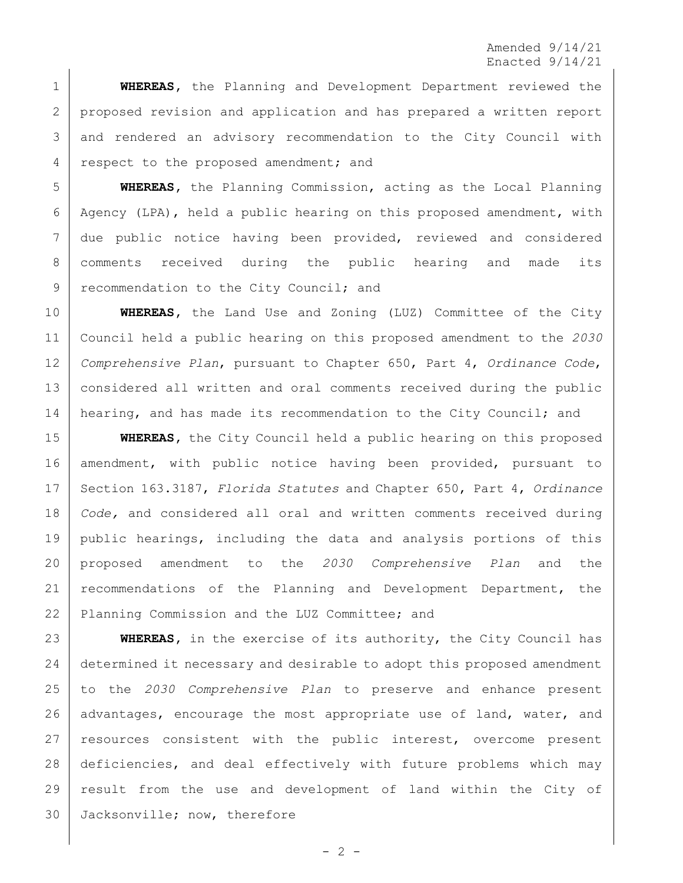**WHEREAS,** the Planning and Development Department reviewed the 2 | proposed revision and application and has prepared a written report and rendered an advisory recommendation to the City Council with respect to the proposed amendment; and

 **WHEREAS,** the Planning Commission, acting as the Local Planning Agency (LPA), held a public hearing on this proposed amendment, with due public notice having been provided, reviewed and considered comments received during the public hearing and made its 9 recommendation to the City Council; and

 **WHEREAS,** the Land Use and Zoning (LUZ) Committee of the City Council held a public hearing on this proposed amendment to the *2030 Comprehensive Plan*, pursuant to Chapter 650, Part 4, *Ordinance Code*, considered all written and oral comments received during the public 14 hearing, and has made its recommendation to the City Council; and

**WHEREAS,** the City Council held a public hearing on this proposed amendment, with public notice having been provided, pursuant to Section 163.3187, *Florida Statutes* and Chapter 650, Part 4, *Ordinance Code,* and considered all oral and written comments received during public hearings, including the data and analysis portions of this proposed amendment to the *2030 Comprehensive Plan* and the 21 | recommendations of the Planning and Development Department, the 22 Planning Commission and the LUZ Committee; and

 **WHEREAS,** in the exercise of its authority, the City Council has determined it necessary and desirable to adopt this proposed amendment to the *2030 Comprehensive Plan* to preserve and enhance present 26 advantages, encourage the most appropriate use of land, water, and resources consistent with the public interest, overcome present deficiencies, and deal effectively with future problems which may result from the use and development of land within the City of Jacksonville; now, therefore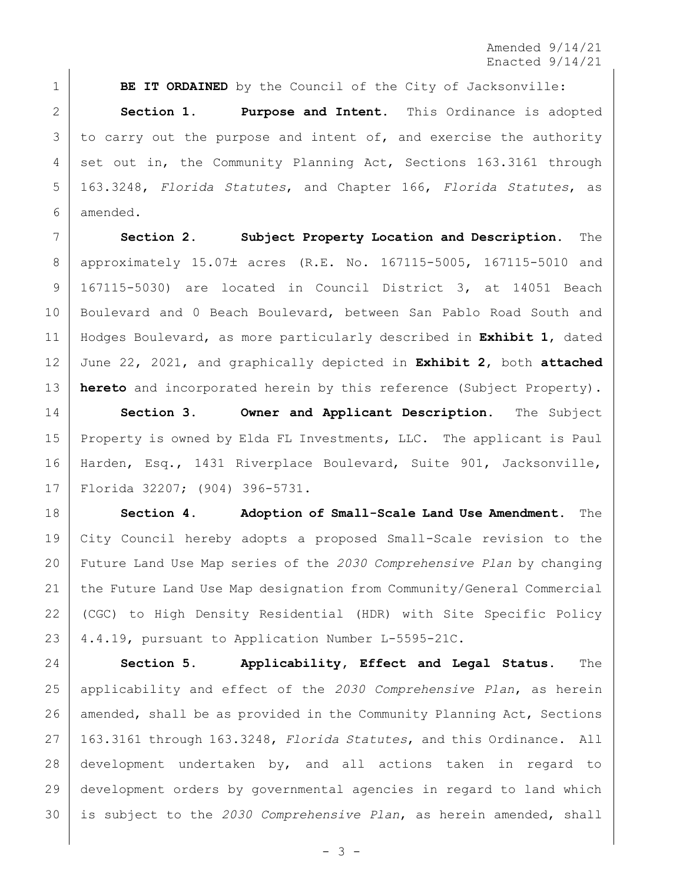**BE IT ORDAINED** by the Council of the City of Jacksonville: **Section 1. Purpose and Intent.** This Ordinance is adopted to carry out the purpose and intent of, and exercise the authority 4 set out in, the Community Planning Act, Sections 163.3161 through 163.3248, *Florida Statutes*, and Chapter 166, *Florida Statutes*, as amended.

 **Section 2. Subject Property Location and Description.** The 8 | approximately 15.07± acres (R.E. No. 167115-5005, 167115-5010 and 167115-5030) are located in Council District 3, at 14051 Beach 10 | Boulevard and 0 Beach Boulevard, between San Pablo Road South and Hodges Boulevard, as more particularly described in **Exhibit 1**, dated June 22, 2021, and graphically depicted in **Exhibit 2**, both **attached hereto** and incorporated herein by this reference (Subject Property).

 **Section 3. Owner and Applicant Description.** The Subject Property is owned by Elda FL Investments, LLC. The applicant is Paul Harden, Esq., 1431 Riverplace Boulevard, Suite 901, Jacksonville, Florida 32207; (904) 396-5731.

 **Section 4. Adoption of Small-Scale Land Use Amendment.** The City Council hereby adopts a proposed Small-Scale revision to the Future Land Use Map series of the *2030 Comprehensive Plan* by changing the Future Land Use Map designation from Community/General Commercial (CGC) to High Density Residential (HDR) with Site Specific Policy 4.4.19, pursuant to Application Number L-5595-21C.

 **Section 5. Applicability, Effect and Legal Status.** The applicability and effect of the *2030 Comprehensive Plan*, as herein 26 | amended, shall be as provided in the Community Planning Act, Sections 163.3161 through 163.3248, *Florida Statutes*, and this Ordinance. All development undertaken by, and all actions taken in regard to development orders by governmental agencies in regard to land which is subject to the *2030 Comprehensive Plan*, as herein amended, shall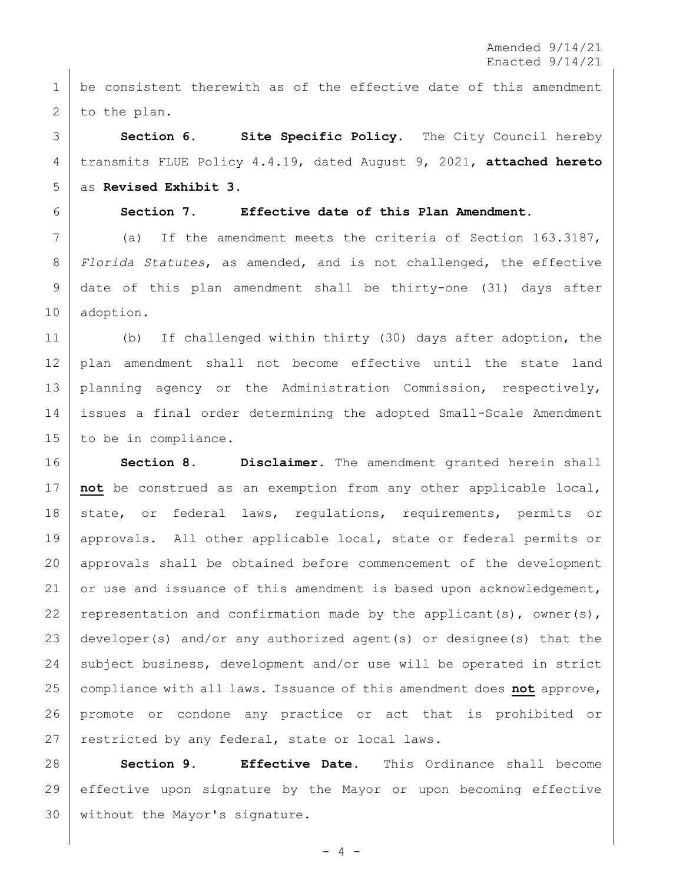1 be consistent therewith as of the effective date of this amendment 2 to the plan.

 **Section 6. Site Specific Policy.** The City Council hereby transmits FLUE Policy 4.4.19, dated August 9, 2021, **attached hereto** as **Revised Exhibit 3**.

## **Section 7. Effective date of this Plan Amendment.**

 (a) If the amendment meets the criteria of Section 163.3187, *Florida Statutes*, as amended, and is not challenged, the effective date of this plan amendment shall be thirty-one (31) days after adoption.

 (b) If challenged within thirty (30) days after adoption, the plan amendment shall not become effective until the state land planning agency or the Administration Commission, respectively, issues a final order determining the adopted Small-Scale Amendment to be in compliance.

 **Section 8. Disclaimer.** The amendment granted herein shall **not** be construed as an exemption from any other applicable local, 18 | state, or federal laws, regulations, requirements, permits or approvals. All other applicable local, state or federal permits or approvals shall be obtained before commencement of the development 21 or use and issuance of this amendment is based upon acknowledgement, 22 representation and confirmation made by the applicant(s), owner(s), developer(s) and/or any authorized agent(s) or designee(s) that the 24 subject business, development and/or use will be operated in strict compliance with all laws. Issuance of this amendment does **not** approve, promote or condone any practice or act that is prohibited or 27 restricted by any federal, state or local laws.

 **Section 9. Effective Date.** This Ordinance shall become effective upon signature by the Mayor or upon becoming effective without the Mayor's signature.

 $- 4 -$